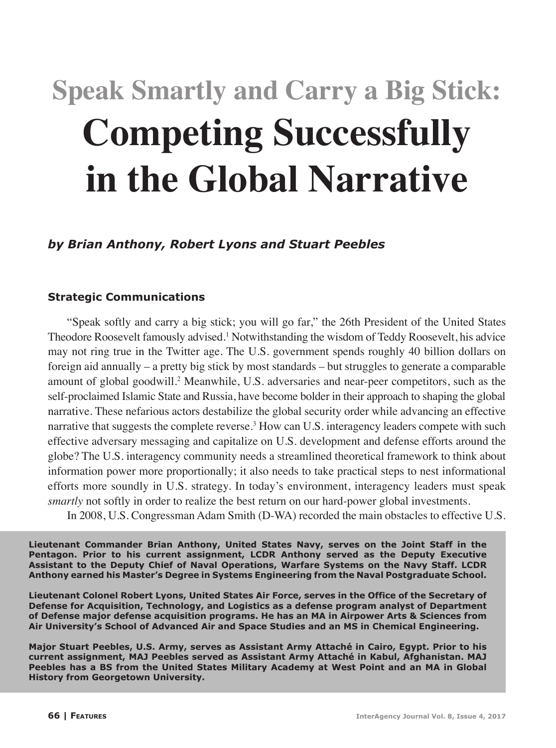# **Speak Smartly and Carry a Big Stick: Competing Successfully in the Global Narrative**

*by Brian Anthony, Robert Lyons and Stuart Peebles*

## **Strategic Communications**

"Speak softly and carry a big stick; you will go far," the 26th President of the United States Theodore Roosevelt famously advised.<sup>1</sup> Notwithstanding the wisdom of Teddy Roosevelt, his advice may not ring true in the Twitter age. The U.S. government spends roughly 40 billion dollars on foreign aid annually – a pretty big stick by most standards – but struggles to generate a comparable amount of global goodwill.2 Meanwhile, U.S. adversaries and near-peer competitors, such as the self-proclaimed Islamic State and Russia, have become bolder in their approach to shaping the global narrative. These nefarious actors destabilize the global security order while advancing an effective narrative that suggests the complete reverse.<sup>3</sup> How can U.S. interagency leaders compete with such effective adversary messaging and capitalize on U.S. development and defense efforts around the globe? The U.S. interagency community needs a streamlined theoretical framework to think about information power more proportionally; it also needs to take practical steps to nest informational efforts more soundly in U.S. strategy. In today's environment, interagency leaders must speak *smartly* not softly in order to realize the best return on our hard-power global investments.

In 2008, U.S. Congressman Adam Smith (D-WA) recorded the main obstacles to effective U.S.

**Lieutenant Commander Brian Anthony, United States Navy, serves on the Joint Staff in the Pentagon. Prior to his current assignment, LCDR Anthony served as the Deputy Executive Assistant to the Deputy Chief of Naval Operations, Warfare Systems on the Navy Staff. LCDR Anthony earned his Master's Degree in Systems Engineering from the Naval Postgraduate School.**

**Lieutenant Colonel Robert Lyons, United States Air Force, serves in the Office of the Secretary of Defense for Acquisition, Technology, and Logistics as a defense program analyst of Department of Defense major defense acquisition programs. He has an MA in Airpower Arts & Sciences from Air University's School of Advanced Air and Space Studies and an MS in Chemical Engineering.**

**Major Stuart Peebles, U.S. Army, serves as Assistant Army Attaché in Cairo, Egypt. Prior to his current assignment, MAJ Peebles served as Assistant Army Attaché in Kabul, Afghanistan. MAJ Peebles has a BS from the United States Military Academy at West Point and an MA in Global History from Georgetown University.**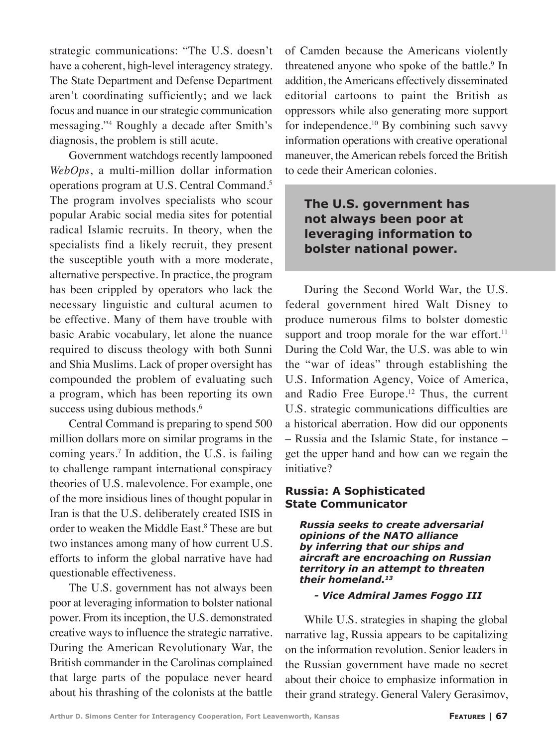strategic communications: "The U.S. doesn't have a coherent, high-level interagency strategy. The State Department and Defense Department aren't coordinating sufficiently; and we lack focus and nuance in our strategic communication messaging."4 Roughly a decade after Smith's diagnosis, the problem is still acute.

Government watchdogs recently lampooned *WebOps*, a multi-million dollar information operations program at U.S. Central Command.5 The program involves specialists who scour popular Arabic social media sites for potential radical Islamic recruits. In theory, when the specialists find a likely recruit, they present the susceptible youth with a more moderate, alternative perspective. In practice, the program has been crippled by operators who lack the necessary linguistic and cultural acumen to be effective. Many of them have trouble with basic Arabic vocabulary, let alone the nuance required to discuss theology with both Sunni and Shia Muslims. Lack of proper oversight has compounded the problem of evaluating such a program, which has been reporting its own success using dubious methods.<sup>6</sup>

Central Command is preparing to spend 500 million dollars more on similar programs in the coming years.<sup>7</sup> In addition, the U.S. is failing to challenge rampant international conspiracy theories of U.S. malevolence. For example, one of the more insidious lines of thought popular in Iran is that the U.S. deliberately created ISIS in order to weaken the Middle East.<sup>8</sup> These are but two instances among many of how current U.S. efforts to inform the global narrative have had questionable effectiveness.

The U.S. government has not always been poor at leveraging information to bolster national power. From its inception, the U.S. demonstrated creative ways to influence the strategic narrative. During the American Revolutionary War, the British commander in the Carolinas complained that large parts of the populace never heard about his thrashing of the colonists at the battle

of Camden because the Americans violently threatened anyone who spoke of the battle.<sup>9</sup> In addition, the Americans effectively disseminated editorial cartoons to paint the British as oppressors while also generating more support for independence.10 By combining such savvy information operations with creative operational maneuver, the American rebels forced the British to cede their American colonies.

# **The U.S. government has not always been poor at leveraging information to bolster national power.**

During the Second World War, the U.S. federal government hired Walt Disney to produce numerous films to bolster domestic support and troop morale for the war effort. $11$ During the Cold War, the U.S. was able to win the "war of ideas" through establishing the U.S. Information Agency, Voice of America, and Radio Free Europe.<sup>12</sup> Thus, the current U.S. strategic communications difficulties are a historical aberration. How did our opponents – Russia and the Islamic State, for instance – get the upper hand and how can we regain the initiative?

#### **Russia: A Sophisticated State Communicator**

*Russia seeks to create adversarial opinions of the NATO alliance by inferring that our ships and aircraft are encroaching on Russian territory in an attempt to threaten their homeland.13*

#### *- Vice Admiral James Foggo III*

While U.S. strategies in shaping the global narrative lag, Russia appears to be capitalizing on the information revolution. Senior leaders in the Russian government have made no secret about their choice to emphasize information in their grand strategy. General Valery Gerasimov,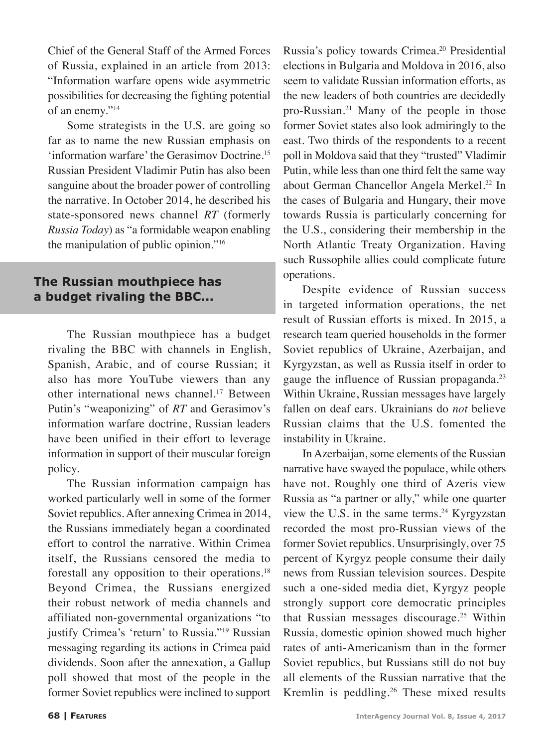Chief of the General Staff of the Armed Forces of Russia, explained in an article from 2013: "Information warfare opens wide asymmetric possibilities for decreasing the fighting potential of an enemy."14

Some strategists in the U.S. are going so far as to name the new Russian emphasis on 'information warfare' the Gerasimov Doctrine.15 Russian President Vladimir Putin has also been sanguine about the broader power of controlling the narrative. In October 2014, he described his state-sponsored news channel *RT* (formerly *Russia Today*) as "a formidable weapon enabling the manipulation of public opinion."16

# **The Russian mouthpiece has a budget rivaling the BBC...**

The Russian mouthpiece has a budget rivaling the BBC with channels in English, Spanish, Arabic, and of course Russian; it also has more YouTube viewers than any other international news channel.<sup>17</sup> Between Putin's "weaponizing" of *RT* and Gerasimov's information warfare doctrine, Russian leaders have been unified in their effort to leverage information in support of their muscular foreign policy.

The Russian information campaign has worked particularly well in some of the former Soviet republics. After annexing Crimea in 2014, the Russians immediately began a coordinated effort to control the narrative. Within Crimea itself, the Russians censored the media to forestall any opposition to their operations.18 Beyond Crimea, the Russians energized their robust network of media channels and affiliated non-governmental organizations "to justify Crimea's 'return' to Russia."19 Russian messaging regarding its actions in Crimea paid dividends. Soon after the annexation, a Gallup poll showed that most of the people in the former Soviet republics were inclined to support

Russia's policy towards Crimea.20 Presidential elections in Bulgaria and Moldova in 2016, also seem to validate Russian information efforts, as the new leaders of both countries are decidedly pro-Russian.21 Many of the people in those former Soviet states also look admiringly to the east. Two thirds of the respondents to a recent poll in Moldova said that they "trusted" Vladimir Putin, while less than one third felt the same way about German Chancellor Angela Merkel.<sup>22</sup> In the cases of Bulgaria and Hungary, their move towards Russia is particularly concerning for the U.S., considering their membership in the North Atlantic Treaty Organization. Having such Russophile allies could complicate future operations.

Despite evidence of Russian success in targeted information operations, the net result of Russian efforts is mixed. In 2015, a research team queried households in the former Soviet republics of Ukraine, Azerbaijan, and Kyrgyzstan, as well as Russia itself in order to gauge the influence of Russian propaganda.<sup>23</sup> Within Ukraine, Russian messages have largely fallen on deaf ears. Ukrainians do *not* believe Russian claims that the U.S. fomented the instability in Ukraine.

In Azerbaijan, some elements of the Russian narrative have swayed the populace, while others have not. Roughly one third of Azeris view Russia as "a partner or ally," while one quarter view the U.S. in the same terms.<sup>24</sup> Kyrgyzstan recorded the most pro-Russian views of the former Soviet republics. Unsurprisingly, over 75 percent of Kyrgyz people consume their daily news from Russian television sources. Despite such a one-sided media diet, Kyrgyz people strongly support core democratic principles that Russian messages discourage.<sup>25</sup> Within Russia, domestic opinion showed much higher rates of anti-Americanism than in the former Soviet republics, but Russians still do not buy all elements of the Russian narrative that the Kremlin is peddling.26 These mixed results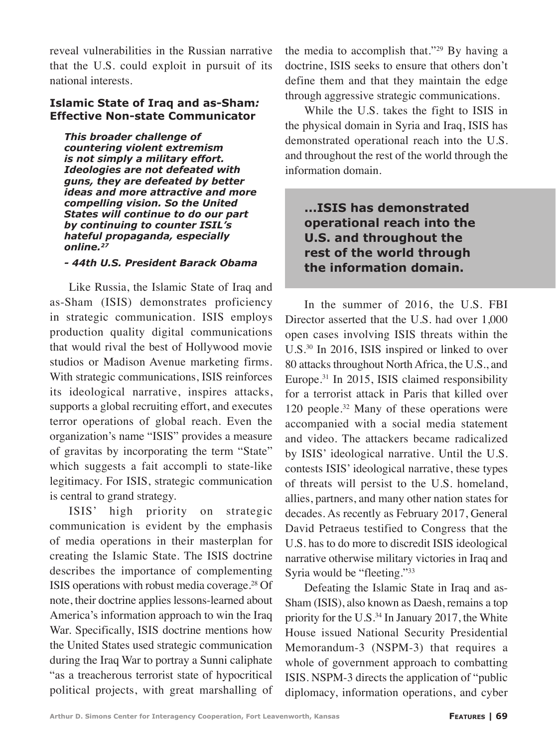reveal vulnerabilities in the Russian narrative that the U.S. could exploit in pursuit of its national interests.

#### **Islamic State of Iraq and as-Sham***:*  **Effective Non-state Communicator**

*This broader challenge of countering violent extremism is not simply a military effort. Ideologies are not defeated with guns, they are defeated by better ideas and more attractive and more compelling vision. So the United States will continue to do our part by continuing to counter ISIL's hateful propaganda, especially online.27*

#### *- 44th U.S. President Barack Obama*

Like Russia, the Islamic State of Iraq and as-Sham (ISIS) demonstrates proficiency in strategic communication. ISIS employs production quality digital communications that would rival the best of Hollywood movie studios or Madison Avenue marketing firms. With strategic communications, ISIS reinforces its ideological narrative, inspires attacks, supports a global recruiting effort, and executes terror operations of global reach. Even the organization's name "ISIS" provides a measure of gravitas by incorporating the term "State" which suggests a fait accompli to state-like legitimacy. For ISIS, strategic communication is central to grand strategy.

ISIS' high priority on strategic communication is evident by the emphasis of media operations in their masterplan for creating the Islamic State. The ISIS doctrine describes the importance of complementing ISIS operations with robust media coverage.<sup>28</sup> Of note, their doctrine applies lessons-learned about America's information approach to win the Iraq War. Specifically, ISIS doctrine mentions how the United States used strategic communication during the Iraq War to portray a Sunni caliphate "as a treacherous terrorist state of hypocritical political projects, with great marshalling of the media to accomplish that."29 By having a doctrine, ISIS seeks to ensure that others don't define them and that they maintain the edge through aggressive strategic communications.

While the U.S. takes the fight to ISIS in the physical domain in Syria and Iraq, ISIS has demonstrated operational reach into the U.S. and throughout the rest of the world through the information domain.

# **...ISIS has demonstrated operational reach into the U.S. and throughout the rest of the world through the information domain.**

In the summer of 2016, the U.S. FBI Director asserted that the U.S. had over 1,000 open cases involving ISIS threats within the U.S.30 In 2016, ISIS inspired or linked to over 80 attacks throughout North Africa, the U.S., and Europe.31 In 2015, ISIS claimed responsibility for a terrorist attack in Paris that killed over 120 people.32 Many of these operations were accompanied with a social media statement and video. The attackers became radicalized by ISIS' ideological narrative. Until the U.S. contests ISIS' ideological narrative, these types of threats will persist to the U.S. homeland, allies, partners, and many other nation states for decades. As recently as February 2017, General David Petraeus testified to Congress that the U.S. has to do more to discredit ISIS ideological narrative otherwise military victories in Iraq and Syria would be "fleeting."33

Defeating the Islamic State in Iraq and as-Sham (ISIS), also known as Daesh, remains a top priority for the U.S. $34$  In January 2017, the White House issued National Security Presidential Memorandum-3 (NSPM-3) that requires a whole of government approach to combatting ISIS. NSPM-3 directs the application of "public diplomacy, information operations, and cyber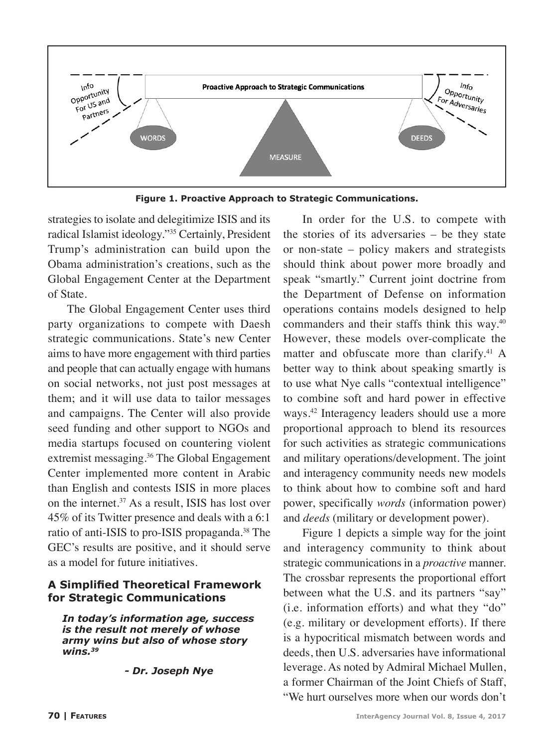

**Figure 1. Proactive Approach to Strategic Communications.**

strategies to isolate and delegitimize ISIS and its radical Islamist ideology."35 Certainly, President Trump's administration can build upon the Obama administration's creations, such as the Global Engagement Center at the Department of State.

The Global Engagement Center uses third party organizations to compete with Daesh strategic communications. State's new Center aims to have more engagement with third parties and people that can actually engage with humans on social networks, not just post messages at them; and it will use data to tailor messages and campaigns. The Center will also provide seed funding and other support to NGOs and media startups focused on countering violent extremist messaging.36 The Global Engagement Center implemented more content in Arabic than English and contests ISIS in more places on the internet.<sup>37</sup> As a result, ISIS has lost over 45% of its Twitter presence and deals with a 6:1 ratio of anti-ISIS to pro-ISIS propaganda.<sup>38</sup> The GEC's results are positive, and it should serve as a model for future initiatives.

#### **A Simplified Theoretical Framework for Strategic Communications**

*In today's information age, success is the result not merely of whose army wins but also of whose story wins.39*

 *- Dr. Joseph Nye*

In order for the U.S. to compete with the stories of its adversaries – be they state or non-state – policy makers and strategists should think about power more broadly and speak "smartly." Current joint doctrine from the Department of Defense on information operations contains models designed to help commanders and their staffs think this way.40 However, these models over-complicate the matter and obfuscate more than clarify.<sup>41</sup> A better way to think about speaking smartly is to use what Nye calls "contextual intelligence" to combine soft and hard power in effective ways.42 Interagency leaders should use a more proportional approach to blend its resources for such activities as strategic communications and military operations/development. The joint and interagency community needs new models to think about how to combine soft and hard power, specifically *words* (information power) and *deeds* (military or development power).

Figure 1 depicts a simple way for the joint and interagency community to think about strategic communications in a *proactive* manner. The crossbar represents the proportional effort between what the U.S. and its partners "say" (i.e. information efforts) and what they "do" (e.g. military or development efforts). If there is a hypocritical mismatch between words and deeds, then U.S. adversaries have informational leverage. As noted by Admiral Michael Mullen, a former Chairman of the Joint Chiefs of Staff, "We hurt ourselves more when our words don't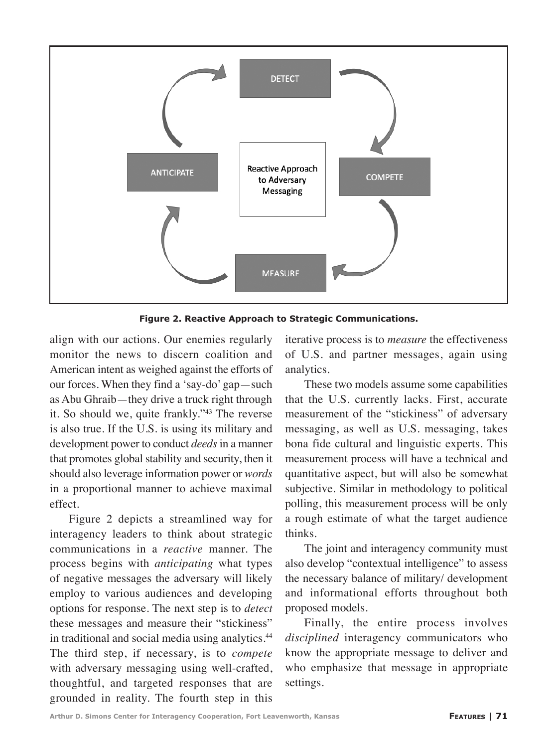

**Figure 2. Reactive Approach to Strategic Communications.**

align with our actions. Our enemies regularly monitor the news to discern coalition and American intent as weighed against the efforts of our forces. When they find a 'say-do' gap—such as Abu Ghraib—they drive a truck right through it. So should we, quite frankly."43 The reverse is also true. If the U.S. is using its military and development power to conduct *deeds* in a manner that promotes global stability and security, then it should also leverage information power or *words* in a proportional manner to achieve maximal effect.

Figure 2 depicts a streamlined way for interagency leaders to think about strategic communications in a *reactive* manner. The process begins with *anticipating* what types of negative messages the adversary will likely employ to various audiences and developing options for response. The next step is to *detect* these messages and measure their "stickiness" in traditional and social media using analytics.<sup>44</sup> The third step, if necessary, is to *compete*  with adversary messaging using well-crafted, thoughtful, and targeted responses that are grounded in reality. The fourth step in this

iterative process is to *measure* the effectiveness of U.S. and partner messages, again using analytics.

These two models assume some capabilities that the U.S. currently lacks. First, accurate measurement of the "stickiness" of adversary messaging, as well as U.S. messaging, takes bona fide cultural and linguistic experts. This measurement process will have a technical and quantitative aspect, but will also be somewhat subjective. Similar in methodology to political polling, this measurement process will be only a rough estimate of what the target audience thinks.

The joint and interagency community must also develop "contextual intelligence" to assess the necessary balance of military/ development and informational efforts throughout both proposed models.

Finally, the entire process involves *disciplined* interagency communicators who know the appropriate message to deliver and who emphasize that message in appropriate settings.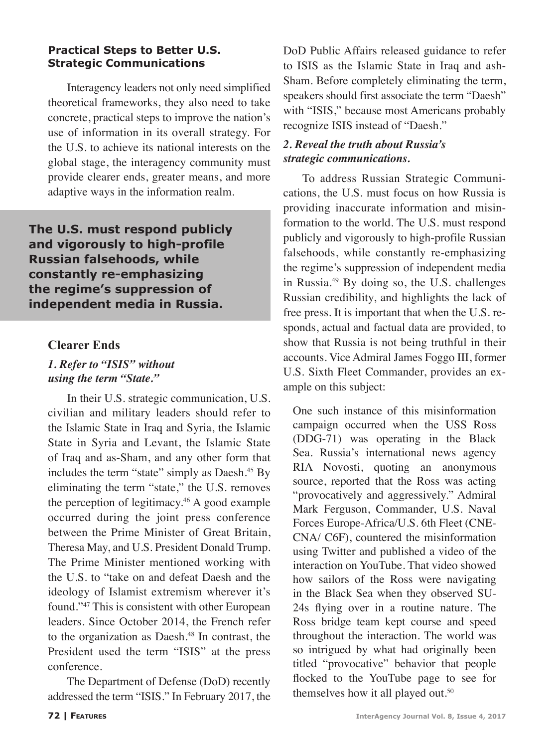#### **Practical Steps to Better U.S. Strategic Communications**

Interagency leaders not only need simplified theoretical frameworks, they also need to take concrete, practical steps to improve the nation's use of information in its overall strategy. For the U.S. to achieve its national interests on the global stage, the interagency community must provide clearer ends, greater means, and more adaptive ways in the information realm.

**The U.S. must respond publicly and vigorously to high-profile Russian falsehoods, while constantly re-emphasizing the regime's suppression of independent media in Russia.**

## **Clearer Ends**

# *1. Refer to "ISIS" without using the term "State."*

In their U.S. strategic communication, U.S. civilian and military leaders should refer to the Islamic State in Iraq and Syria, the Islamic State in Syria and Levant, the Islamic State of Iraq and as-Sham, and any other form that includes the term "state" simply as Daesh.<sup>45</sup> By eliminating the term "state," the U.S. removes the perception of legitimacy.46 A good example occurred during the joint press conference between the Prime Minister of Great Britain, Theresa May, and U.S. President Donald Trump. The Prime Minister mentioned working with the U.S. to "take on and defeat Daesh and the ideology of Islamist extremism wherever it's found."47 This is consistent with other European leaders. Since October 2014, the French refer to the organization as Daesh.<sup>48</sup> In contrast, the President used the term "ISIS" at the press conference.

The Department of Defense (DoD) recently addressed the term "ISIS." In February 2017, the

DoD Public Affairs released guidance to refer to ISIS as the Islamic State in Iraq and ash-Sham. Before completely eliminating the term, speakers should first associate the term "Daesh" with "ISIS," because most Americans probably recognize ISIS instead of "Daesh."

#### *2. Reveal the truth about Russia's strategic communications.*

To address Russian Strategic Communications, the U.S. must focus on how Russia is providing inaccurate information and misinformation to the world. The U.S. must respond publicly and vigorously to high-profile Russian falsehoods, while constantly re-emphasizing the regime's suppression of independent media in Russia.49 By doing so, the U.S. challenges Russian credibility, and highlights the lack of free press. It is important that when the U.S. responds, actual and factual data are provided, to show that Russia is not being truthful in their accounts. Vice Admiral James Foggo III, former U.S. Sixth Fleet Commander, provides an example on this subject:

One such instance of this misinformation campaign occurred when the USS Ross (DDG-71) was operating in the Black Sea. Russia's international news agency RIA Novosti, quoting an anonymous source, reported that the Ross was acting "provocatively and aggressively." Admiral Mark Ferguson, Commander, U.S. Naval Forces Europe-Africa/U.S. 6th Fleet (CNE-CNA/ C6F), countered the misinformation using Twitter and published a video of the interaction on YouTube. That video showed how sailors of the Ross were navigating in the Black Sea when they observed SU-24s flying over in a routine nature. The Ross bridge team kept course and speed throughout the interaction. The world was so intrigued by what had originally been titled "provocative" behavior that people flocked to the YouTube page to see for themselves how it all played out.<sup>50</sup>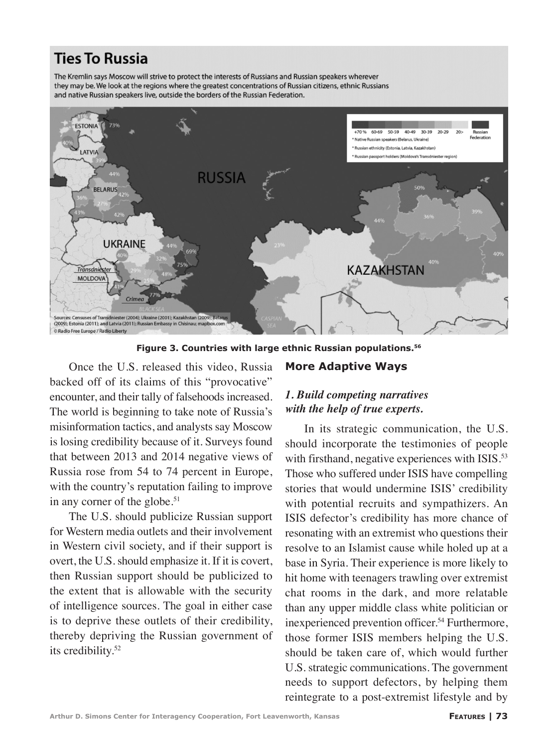# **Ties To Russia**

The Kremlin says Moscow will strive to protect the interests of Russians and Russian speakers wherever they may be. We look at the regions where the greatest concentrations of Russian citizens, ethnic Russians and native Russian speakers live, outside the borders of the Russian Federation.



**Figure 3. Countries with large ethnic Russian populations.56**

Once the U.S. released this video, Russia backed off of its claims of this "provocative" encounter, and their tally of falsehoods increased. The world is beginning to take note of Russia's misinformation tactics, and analysts say Moscow is losing credibility because of it. Surveys found that between 2013 and 2014 negative views of Russia rose from 54 to 74 percent in Europe, with the country's reputation failing to improve in any corner of the globe.<sup>51</sup>

The U.S. should publicize Russian support for Western media outlets and their involvement in Western civil society, and if their support is overt, the U.S. should emphasize it. If it is covert, then Russian support should be publicized to the extent that is allowable with the security of intelligence sources. The goal in either case is to deprive these outlets of their credibility, thereby depriving the Russian government of its credibility.52

## *1. Build competing narratives with the help of true experts.*

**More Adaptive Ways**

In its strategic communication, the U.S. should incorporate the testimonies of people with firsthand, negative experiences with ISIS.<sup>53</sup> Those who suffered under ISIS have compelling stories that would undermine ISIS' credibility with potential recruits and sympathizers. An ISIS defector's credibility has more chance of resonating with an extremist who questions their resolve to an Islamist cause while holed up at a base in Syria. Their experience is more likely to hit home with teenagers trawling over extremist chat rooms in the dark, and more relatable than any upper middle class white politician or inexperienced prevention officer.<sup>54</sup> Furthermore, those former ISIS members helping the U.S. should be taken care of, which would further U.S. strategic communications. The government needs to support defectors, by helping them reintegrate to a post-extremist lifestyle and by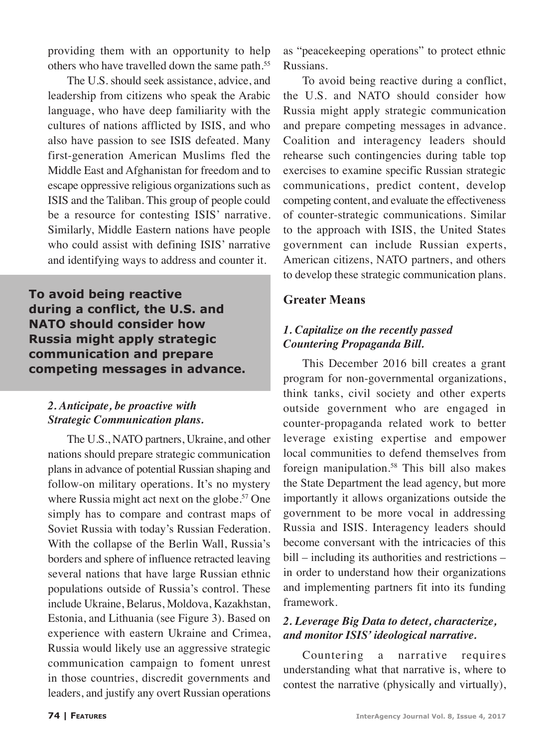providing them with an opportunity to help others who have travelled down the same path.<sup>55</sup>

The U.S. should seek assistance, advice, and leadership from citizens who speak the Arabic language, who have deep familiarity with the cultures of nations afflicted by ISIS, and who also have passion to see ISIS defeated. Many first-generation American Muslims fled the Middle East and Afghanistan for freedom and to escape oppressive religious organizations such as ISIS and the Taliban. This group of people could be a resource for contesting ISIS' narrative. Similarly, Middle Eastern nations have people who could assist with defining ISIS' narrative and identifying ways to address and counter it.

**To avoid being reactive during a conflict, the U.S. and NATO should consider how Russia might apply strategic communication and prepare competing messages in advance.** 

#### *2. Anticipate, be proactive with Strategic Communication plans.*

The U.S., NATO partners, Ukraine, and other nations should prepare strategic communication plans in advance of potential Russian shaping and follow-on military operations. It's no mystery where Russia might act next on the globe.<sup>57</sup> One simply has to compare and contrast maps of Soviet Russia with today's Russian Federation. With the collapse of the Berlin Wall, Russia's borders and sphere of influence retracted leaving several nations that have large Russian ethnic populations outside of Russia's control. These include Ukraine, Belarus, Moldova, Kazakhstan, Estonia, and Lithuania (see Figure 3). Based on experience with eastern Ukraine and Crimea, Russia would likely use an aggressive strategic communication campaign to foment unrest in those countries, discredit governments and leaders, and justify any overt Russian operations

as "peacekeeping operations" to protect ethnic Russians.

To avoid being reactive during a conflict, the U.S. and NATO should consider how Russia might apply strategic communication and prepare competing messages in advance. Coalition and interagency leaders should rehearse such contingencies during table top exercises to examine specific Russian strategic communications, predict content, develop competing content, and evaluate the effectiveness of counter-strategic communications. Similar to the approach with ISIS, the United States government can include Russian experts, American citizens, NATO partners, and others to develop these strategic communication plans.

# **Greater Means**

#### *1. Capitalize on the recently passed Countering Propaganda Bill.*

This December 2016 bill creates a grant program for non-governmental organizations, think tanks, civil society and other experts outside government who are engaged in counter-propaganda related work to better leverage existing expertise and empower local communities to defend themselves from foreign manipulation.58 This bill also makes the State Department the lead agency, but more importantly it allows organizations outside the government to be more vocal in addressing Russia and ISIS. Interagency leaders should become conversant with the intricacies of this bill – including its authorities and restrictions – in order to understand how their organizations and implementing partners fit into its funding framework.

#### *2. Leverage Big Data to detect, characterize, and monitor ISIS' ideological narrative.*

Countering a narrative requires understanding what that narrative is, where to contest the narrative (physically and virtually),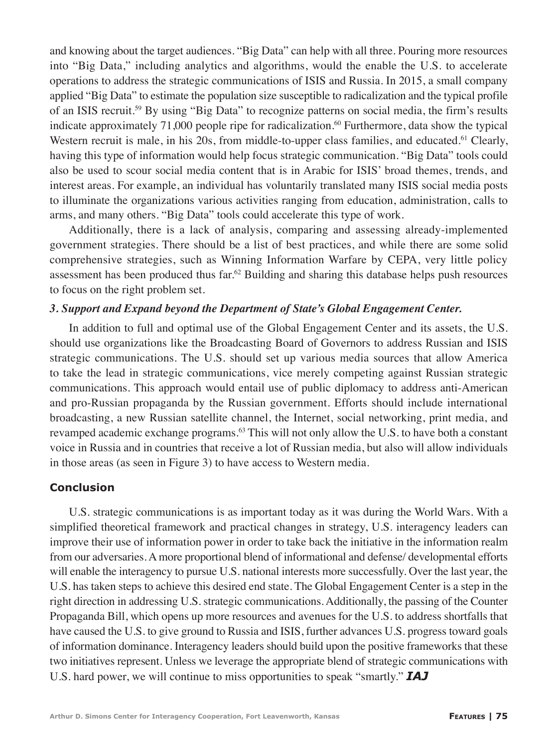and knowing about the target audiences. "Big Data" can help with all three. Pouring more resources into "Big Data," including analytics and algorithms, would the enable the U.S. to accelerate operations to address the strategic communications of ISIS and Russia. In 2015, a small company applied "Big Data" to estimate the population size susceptible to radicalization and the typical profile of an ISIS recruit.59 By using "Big Data" to recognize patterns on social media, the firm's results indicate approximately 71,000 people ripe for radicalization.<sup>60</sup> Furthermore, data show the typical Western recruit is male, in his  $20s$ , from middle-to-upper class families, and educated.<sup>61</sup> Clearly, having this type of information would help focus strategic communication. "Big Data" tools could also be used to scour social media content that is in Arabic for ISIS' broad themes, trends, and interest areas. For example, an individual has voluntarily translated many ISIS social media posts to illuminate the organizations various activities ranging from education, administration, calls to arms, and many others. "Big Data" tools could accelerate this type of work.

Additionally, there is a lack of analysis, comparing and assessing already-implemented government strategies. There should be a list of best practices, and while there are some solid comprehensive strategies, such as Winning Information Warfare by CEPA, very little policy assessment has been produced thus far.<sup>62</sup> Building and sharing this database helps push resources to focus on the right problem set.

#### *3. Support and Expand beyond the Department of State's Global Engagement Center.*

In addition to full and optimal use of the Global Engagement Center and its assets, the U.S. should use organizations like the Broadcasting Board of Governors to address Russian and ISIS strategic communications. The U.S. should set up various media sources that allow America to take the lead in strategic communications, vice merely competing against Russian strategic communications. This approach would entail use of public diplomacy to address anti-American and pro-Russian propaganda by the Russian government. Efforts should include international broadcasting, a new Russian satellite channel, the Internet, social networking, print media, and revamped academic exchange programs.<sup>63</sup> This will not only allow the U.S. to have both a constant voice in Russia and in countries that receive a lot of Russian media, but also will allow individuals in those areas (as seen in Figure 3) to have access to Western media.

#### **Conclusion**

U.S. strategic communications is as important today as it was during the World Wars. With a simplified theoretical framework and practical changes in strategy, U.S. interagency leaders can improve their use of information power in order to take back the initiative in the information realm from our adversaries. A more proportional blend of informational and defense/ developmental efforts will enable the interagency to pursue U.S. national interests more successfully. Over the last year, the U.S. has taken steps to achieve this desired end state. The Global Engagement Center is a step in the right direction in addressing U.S. strategic communications. Additionally, the passing of the Counter Propaganda Bill, which opens up more resources and avenues for the U.S. to address shortfalls that have caused the U.S. to give ground to Russia and ISIS, further advances U.S. progress toward goals of information dominance. Interagency leaders should build upon the positive frameworks that these two initiatives represent. Unless we leverage the appropriate blend of strategic communications with U.S. hard power, we will continue to miss opportunities to speak "smartly." *IAJ*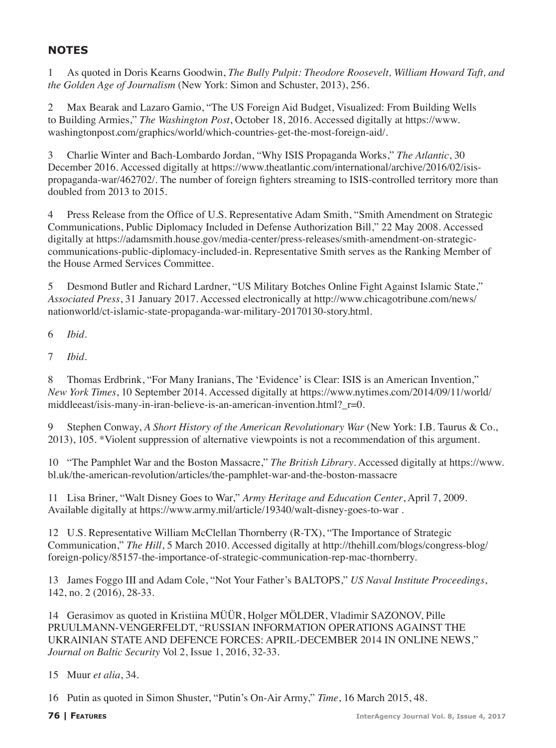# **NOTES**

1 As quoted in Doris Kearns Goodwin, *The Bully Pulpit: Theodore Roosevelt, William Howard Taft, and the Golden Age of Journalism* (New York: Simon and Schuster, 2013), 256.

2 Max Bearak and Lazaro Gamio, "The US Foreign Aid Budget, Visualized: From Building Wells to Building Armies," *The Washington Post*, October 18, 2016. Accessed digitally at https://www. washingtonpost.com/graphics/world/which-countries-get-the-most-foreign-aid/.

3 Charlie Winter and Bach-Lombardo Jordan, "Why ISIS Propaganda Works," *The Atlantic*, 30 December 2016. Accessed digitally at https://www.theatlantic.com/international/archive/2016/02/isispropaganda-war/462702/. The number of foreign fighters streaming to ISIS-controlled territory more than doubled from 2013 to 2015.

Press Release from the Office of U.S. Representative Adam Smith, "Smith Amendment on Strategic Communications, Public Diplomacy Included in Defense Authorization Bill," 22 May 2008. Accessed digitally at https://adamsmith.house.gov/media-center/press-releases/smith-amendment-on-strategiccommunications-public-diplomacy-included-in. Representative Smith serves as the Ranking Member of the House Armed Services Committee.

5 Desmond Butler and Richard Lardner, "US Military Botches Online Fight Against Islamic State," *Associated Press*, 31 January 2017. Accessed electronically at http://www.chicagotribune.com/news/ nationworld/ct-islamic-state-propaganda-war-military-20170130-story.html.

6 *Ibid*.

7 *Ibid*.

8 Thomas Erdbrink, "For Many Iranians, The 'Evidence' is Clear: ISIS is an American Invention," *New York Times*, 10 September 2014. Accessed digitally at https://www.nytimes.com/2014/09/11/world/ middleeast/isis-many-in-iran-believe-is-an-american-invention.html?  $r=0$ .

9 Stephen Conway, *A Short History of the American Revolutionary War* (New York: I.B. Taurus & Co., 2013), 105. \*Violent suppression of alternative viewpoints is not a recommendation of this argument.

10 "The Pamphlet War and the Boston Massacre," *The British Library*. Accessed digitally at https://www. bl.uk/the-american-revolution/articles/the-pamphlet-war-and-the-boston-massacre

11 Lisa Briner, "Walt Disney Goes to War," *Army Heritage and Education Center*, April 7, 2009. Available digitally at https://www.army.mil/article/19340/walt-disney-goes-to-war .

12 U.S. Representative William McClellan Thornberry (R-TX), "The Importance of Strategic Communication," *The Hill*, 5 March 2010. Accessed digitally at http://thehill.com/blogs/congress-blog/ foreign-policy/85157-the-importance-of-strategic-communication-rep-mac-thornberry.

13 James Foggo III and Adam Cole, "Not Your Father's BALTOPS," *US Naval Institute Proceedings*, 142, no. 2 (2016), 28-33.

14 Gerasimov as quoted in Kristiina MÜÜR, Holger MÖLDER, Vladimir SAZONOV, Pille PRUULMANN-VENGERFELDT, "RUSSIAN INFORMATION OPERATIONS AGAINST THE UKRAINIAN STATE AND DEFENCE FORCES: APRIL-DECEMBER 2014 IN ONLINE NEWS," *Journal on Baltic Security* Vol 2, Issue 1, 2016, 32-33.

15 Muur *et alia*, 34.

16 Putin as quoted in Simon Shuster, "Putin's On-Air Army," *Time*, 16 March 2015, 48.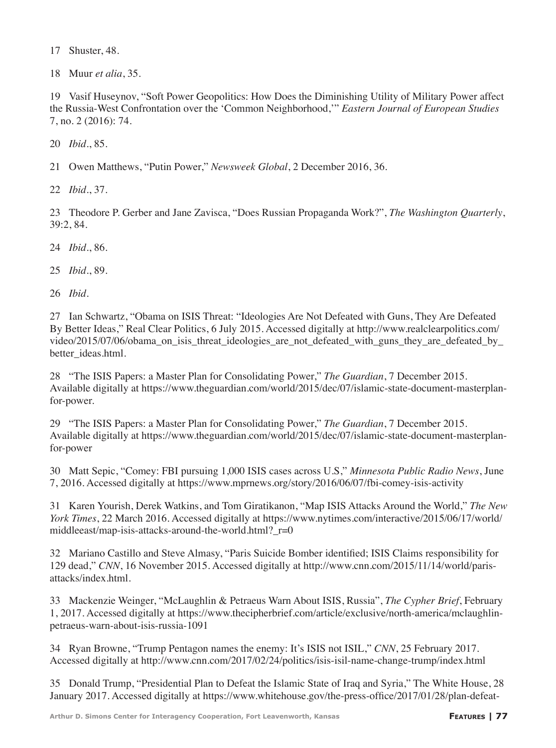17 Shuster, 48.

18 Muur *et alia*, 35.

19 Vasif Huseynov, "Soft Power Geopolitics: How Does the Diminishing Utility of Military Power affect the Russia-West Confrontation over the 'Common Neighborhood,'" *Eastern Journal of European Studies* 7, no. 2 (2016): 74.

20 *Ibid*., 85.

21 Owen Matthews, "Putin Power," *Newsweek Global*, 2 December 2016, 36.

22 *Ibid*., 37.

23 Theodore P. Gerber and Jane Zavisca, "Does Russian Propaganda Work?", *The Washington Quarterly*, 39:2, 84.

24 *Ibid*., 86.

25 *Ibid*., 89.

26 *Ibid.*

27 Ian Schwartz, "Obama on ISIS Threat: "Ideologies Are Not Defeated with Guns, They Are Defeated By Better Ideas," Real Clear Politics, 6 July 2015. Accessed digitally at http://www.realclearpolitics.com/ video/2015/07/06/obama\_on\_isis\_threat\_ideologies\_are\_not\_defeated\_with\_guns\_they\_are\_defeated\_by better ideas.html.

28 "The ISIS Papers: a Master Plan for Consolidating Power," *The Guardian*, 7 December 2015. Available digitally at https://www.theguardian.com/world/2015/dec/07/islamic-state-document-masterplanfor-power.

29 "The ISIS Papers: a Master Plan for Consolidating Power," *The Guardian*, 7 December 2015. Available digitally at https://www.theguardian.com/world/2015/dec/07/islamic-state-document-masterplanfor-power

30 Matt Sepic, "Comey: FBI pursuing 1,000 ISIS cases across U.S," *Minnesota Public Radio News*, June 7, 2016. Accessed digitally at https://www.mprnews.org/story/2016/06/07/fbi-comey-isis-activity

31 Karen Yourish, Derek Watkins, and Tom Giratikanon, "Map ISIS Attacks Around the World," *The New York Times*, 22 March 2016. Accessed digitally at https://www.nytimes.com/interactive/2015/06/17/world/ middleeast/map-isis-attacks-around-the-world.html? r=0

32 Mariano Castillo and Steve Almasy, "Paris Suicide Bomber identified; ISIS Claims responsibility for 129 dead," *CNN*, 16 November 2015. Accessed digitally at http://www.cnn.com/2015/11/14/world/parisattacks/index.html.

33 Mackenzie Weinger, "McLaughlin & Petraeus Warn About ISIS, Russia", *The Cypher Brief*, February 1, 2017. Accessed digitally at https://www.thecipherbrief.com/article/exclusive/north-america/mclaughlinpetraeus-warn-about-isis-russia-1091

34 Ryan Browne, "Trump Pentagon names the enemy: It's ISIS not ISIL," *CNN*, 25 February 2017. Accessed digitally at http://www.cnn.com/2017/02/24/politics/isis-isil-name-change-trump/index.html

35 Donald Trump, "Presidential Plan to Defeat the Islamic State of Iraq and Syria," The White House, 28 January 2017. Accessed digitally at https://www.whitehouse.gov/the-press-office/2017/01/28/plan-defeat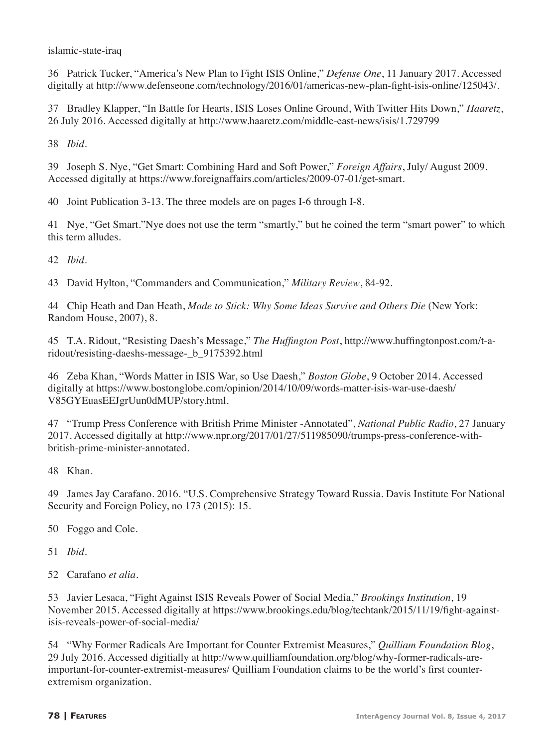islamic-state-iraq

36 Patrick Tucker, "America's New Plan to Fight ISIS Online," *Defense One*, 11 January 2017. Accessed digitally at http://www.defenseone.com/technology/2016/01/americas-new-plan-fight-isis-online/125043/.

37 Bradley Klapper, "In Battle for Hearts, ISIS Loses Online Ground, With Twitter Hits Down," *Haaretz*, 26 July 2016. Accessed digitally at http://www.haaretz.com/middle-east-news/isis/1.729799

38 *Ibid.*

39 Joseph S. Nye, "Get Smart: Combining Hard and Soft Power," *Foreign Affairs*, July/ August 2009. Accessed digitally at https://www.foreignaffairs.com/articles/2009-07-01/get-smart.

40 Joint Publication 3-13. The three models are on pages I-6 through I-8.

41 Nye, "Get Smart."Nye does not use the term "smartly," but he coined the term "smart power" to which this term alludes.

42 *Ibid.*

43 David Hylton, "Commanders and Communication," *Military Review*, 84-92.

44 Chip Heath and Dan Heath, *Made to Stick: Why Some Ideas Survive and Others Die* (New York: Random House, 2007), 8.

45 T.A. Ridout, "Resisting Daesh's Message," *The Huffington Post*, http://www.huffingtonpost.com/t-aridout/resisting-daeshs-message- b 9175392.html

46 Zeba Khan, "Words Matter in ISIS War, so Use Daesh," *Boston Globe*, 9 October 2014. Accessed digitally at https://www.bostonglobe.com/opinion/2014/10/09/words-matter-isis-war-use-daesh/ V85GYEuasEEJgrUun0dMUP/story.html.

47 "Trump Press Conference with British Prime Minister -Annotated", *National Public Radio*, 27 January 2017. Accessed digitally at http://www.npr.org/2017/01/27/511985090/trumps-press-conference-withbritish-prime-minister-annotated.

48 Khan.

49 James Jay Carafano. 2016. "U.S. Comprehensive Strategy Toward Russia. Davis Institute For National Security and Foreign Policy, no 173 (2015): 15.

50 Foggo and Cole.

51 *Ibid.*

52 Carafano *et alia.*

53 Javier Lesaca, "Fight Against ISIS Reveals Power of Social Media," *Brookings Institution*, 19 November 2015. Accessed digitally at https://www.brookings.edu/blog/techtank/2015/11/19/fight-againstisis-reveals-power-of-social-media/

54 "Why Former Radicals Are Important for Counter Extremist Measures," *Quilliam Foundation Blog*, 29 July 2016. Accessed digitially at http://www.quilliamfoundation.org/blog/why-former-radicals-areimportant-for-counter-extremist-measures/ Quilliam Foundation claims to be the world's first counterextremism organization.